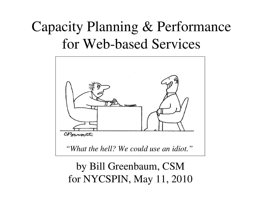# Capacity Planning & Performance for Web-based Services



by Bill Greenbaum, CSM for NYCSPIN, May 11, 2010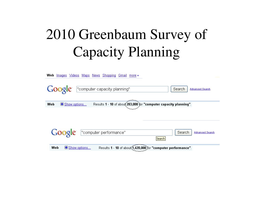#### 2010 Greenbaum Surve y o f C a pacity Plannin  $g$

| Web Images Videos Maps News Shopping Gmail more -                                              |                                  |
|------------------------------------------------------------------------------------------------|----------------------------------|
| Google   "computer capacity planning"                                                          | Search<br><b>Advanced Search</b> |
| Results 1 - 10 of about 283,000 for "computer capacity planning".<br>Show options<br>Web       |                                  |
| Google "computer performance"<br>Search                                                        | Search<br><b>Advanced Search</b> |
| Results 1 - 10 of about(1,420,000) for "computer performance".<br>Web<br><b>E</b> Show options |                                  |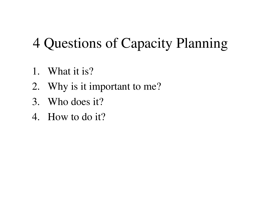### 4 Questions of Capacity Planning

- 1. What it is?
- 2. Why is it important to me?
- 3. Who does it?
- 4. How to do it?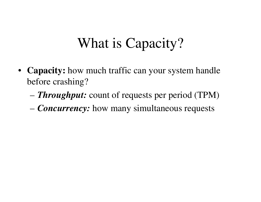#### What is Capacity?

- **Capacity:** how much traffic can your system handle before crashing?
	- *Throughput:* count of requests per period (TPM)
	- *Concurrency:* how many simultaneous requests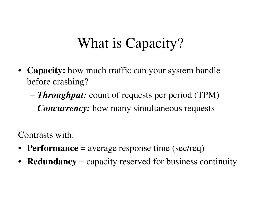### What is Capacity?

- **Capacity:** how much traffic can your system handle before crashing?
	- *Throughput:* count of requests per period (TPM)
	- *Concurrency:* how many simultaneous requests

Contrasts with:

- **Performance** <sup>=</sup> average response time (sec/req)
- •**Redundancy** <sup>=</sup> capacity reserved for business continuity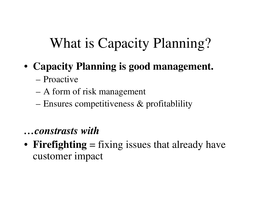#### What is Capacity Planning?

#### • **Capacity Planning is good management.**

- Proactive
- A form of risk managemen<sup>t</sup>
- Ensures competitiveness & profitablility

#### *…constrasts with*

• **Firefighting** <sup>=</sup> fixing issues that already have customer impact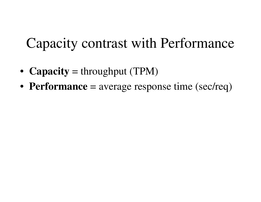#### Capacity contrast with Performance

- **Capacity** <sup>=</sup> throughput (TPM)
- **Performance** <sup>=</sup> average response time (sec/req)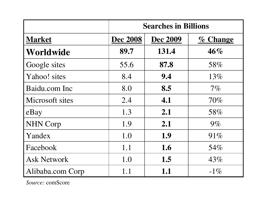|                    | <b>Searches in Billions</b> |                 |             |
|--------------------|-----------------------------|-----------------|-------------|
| <b>Market</b>      | <b>Dec 2008</b>             | <b>Dec 2009</b> | $\%$ Change |
| Worldwide          | 89.7                        | 131.4           | 46%         |
| Google sites       | 55.6                        | 87.8            | 58%         |
| Yahoo! sites       | 8.4                         | 9.4             | 13%         |
| Baidu.com Inc      | 8.0                         | 8.5             | $7\%$       |
| Microsoft sites    | 2.4                         | 4.1             | $70\%$      |
| eBay               | 1.3                         | 2.1             | 58%         |
| <b>NHN Corp</b>    | 1.9                         | 2.1             | $9\%$       |
| Yandex             | 1.0                         | 1.9             | 91%         |
| Facebook           | 1.1                         | 1.6             | 54%         |
| <b>Ask Network</b> | 1.0                         | 1.5             | 43%         |
| Alibaba.com Corp   | 1.1                         | 1.1             | $-1\%$      |

*Source:* comScore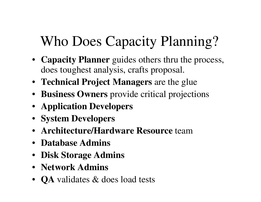# Who Does Capacity Planning?

- **Capacity Planner** guides others thru the process, does toughest analysis, crafts proposal.
- **Technical Project Managers** are the glue
- **Business Owners** provide critical projections
- **Application Developers**
- **System Developers**
- **Architecture/Hardware Resource** team
- **Database Admins**
- **Disk Storage Admins**
- **Network Admins**
- **QA** validates & does load tests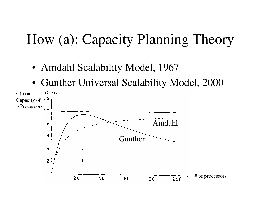#### How (a): Capacity Planning Theory

- Amdahl Scalability Model, 1967
- Gunther Universal Scalability Model, 2000

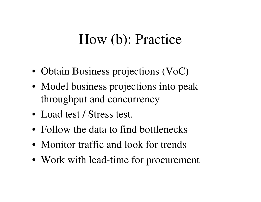#### How (b): Practice

- Obtain Business projections (VoC)
- Model business projections into peak throughput and concurrency
- Load test / Stress test.
- Follow the data to find bottlenecks
- Monitor traffic and look for trends
- Work with lead-time for procurement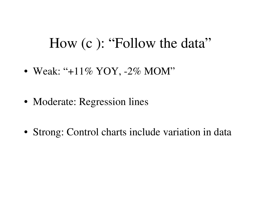#### How (c ): "Follow the data"

- Weak: "+11% YOY, -2% MOM"
- Moderate: Regression lines
- Strong: Control charts include variation in data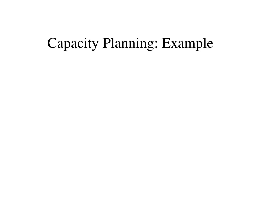#### Capacity Planning: Example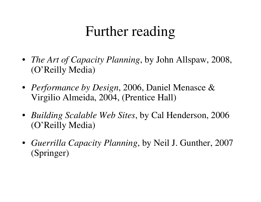#### Further reading

- *The Art of Capacity Planning*, by John Allspaw, 2008, (O'Reilly Media)
- *Performance by Design*, 2006, Daniel Menasce & Virgilio Almeida, 2004, (Prentice Hall)
- *Building Scalable Web Sites*, by Cal Henderson, 2006 (O'Reilly Media)
- *Guerrilla Capacity Planning*, by Neil J. Gunther, 2007 (Springer)